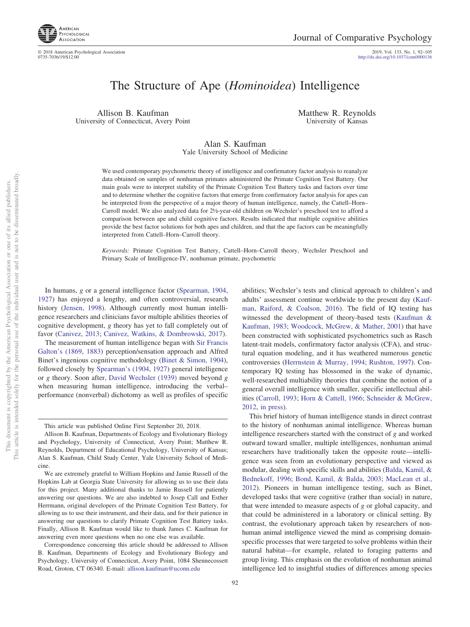

2019, Vol. 133, No. 1, 92-105<br>http://dx.doi.org[/10.1037/com0000136](http://dx.doi.org/10.1037/com0000136)

# The Structure of Ape (*Hominoidea*) Intelligence

Allison B. Kaufman University of Connecticut, Avery Point Matthew R. Reynolds University of Kansas

Alan S. Kaufman Yale University School of Medicine

We used contemporary psychometric theory of intelligence and confirmatory factor analysis to reanalyze data obtained on samples of nonhuman primates administered the Primate Cognition Test Battery. Our main goals were to interpret stability of the Primate Cognition Test Battery tasks and factors over time and to determine whether the cognitive factors that emerge from confirmatory factor analysis for apes can be interpreted from the perspective of a major theory of human intelligence, namely, the Cattell–Horn– Carroll model. We also analyzed data for 2½-year-old children on Wechsler's preschool test to afford a comparison between ape and child cognitive factors. Results indicated that multiple cognitive abilities provide the best factor solutions for both apes and children, and that the ape factors can be meaningfully interpreted from Cattell–Horn–Carroll theory.

*Keywords:* Primate Cognition Test Battery, Cattell–Horn–Carroll theory, Wechsler Preschool and Primary Scale of Intelligence-IV, nonhuman primate, psychometric

In humans, *g* or a general intelligence factor [\(Spearman, 1904,](#page-13-0) [1927\)](#page-13-1) has enjoyed a lengthy, and often controversial, research history [\(Jensen, 1998\)](#page-12-0). Although currently most human intelligence researchers and clinicians favor multiple abilities theories of cognitive development, *g* theory has yet to fall completely out of favor [\(Canivez, 2013;](#page-12-1) [Canivez, Watkins, & Dombrowski, 2017\)](#page-12-2).

The measurement of human intelligence began with [Sir Francis](#page-12-3) [Galton's \(1869,](#page-12-3) [1883\)](#page-12-4) perception/sensation approach and Alfred Binet's ingenious cognitive methodology [\(Binet & Simon, 1904\)](#page-11-0), followed closely by [Spearman's \(1904,](#page-13-0) [1927\)](#page-13-1) general intelligence or *g* theory. Soon after, [David Wechsler \(1939\)](#page-13-2) moved beyond *g* when measuring human intelligence, introducing the verbal– performance (nonverbal) dichotomy as well as profiles of specific

not to be disseminated broadly one of its allied publishers.

 $\overleftarrow{\mathrm{O}}$ 

abilities; Wechsler's tests and clinical approach to children's and adults' assessment continue worldwide to the present day [\(Kauf](#page-12-5)[man, Raiford, & Coalson, 2016\)](#page-12-5). The field of IQ testing has witnessed the development of theory-based tests [\(Kaufman &](#page-12-6) [Kaufman, 1983;](#page-12-6) [Woodcock, McGrew, & Mather, 2001\)](#page-13-3) that have been constructed with sophisticated psychometrics such as Rasch latent-trait models, confirmatory factor analysis (CFA), and structural equation modeling, and it has weathered numerous genetic controversies [\(Herrnstein & Murray, 1994;](#page-12-7) [Rushton, 1997\)](#page-13-4). Contemporary IQ testing has blossomed in the wake of dynamic, well-researched multiability theories that combine the notion of a general overall intelligence with smaller, specific intellectual abilities [\(Carroll, 1993;](#page-12-8) [Horn & Cattell, 1966;](#page-12-9) [Schneider & McGrew,](#page-13-5) [2012,](#page-13-5) [in press\)](#page-13-6).

This brief history of human intelligence stands in direct contrast to the history of nonhuman animal intelligence. Whereas human intelligence researchers started with the construct of *g* and worked outward toward smaller, multiple intelligences, nonhuman animal researchers have traditionally taken the opposite route—intelligence was seen from an evolutionary perspective and viewed as modular, dealing with specific skills and abilities [\(Balda, Kamil, &](#page-11-1) [Bednekoff, 1996;](#page-11-1) [Bond, Kamil, & Balda, 2003;](#page-11-2) [MacLean et al.,](#page-13-7) [2012\)](#page-13-7). Pioneers in human intelligence testing, such as Binet, developed tasks that were cognitive (rather than social) in nature, that were intended to measure aspects of *g* or global capacity, and that could be administered in a laboratory or clinical setting. By contrast, the evolutionary approach taken by researchers of nonhuman animal intelligence viewed the mind as comprising domainspecific processes that were targeted to solve problems within their natural habitat—for example, related to foraging patterns and group living. This emphasis on the evolution of nonhuman animal intelligence led to insightful studies of differences among species

This article was published Online First September 20, 2018.

Allison B. Kaufman, Departments of Ecology and Evolutionary Biology and Psychology, University of Connecticut, Avery Point; Matthew R. Reynolds, Department of Educational Psychology, University of Kansas; Alan S. Kaufman, Child Study Center, Yale University School of Medicine.

We are extremely grateful to William Hopkins and Jamie Russell of the Hopkins Lab at Georgia State University for allowing us to use their data for this project. Many additional thanks to Jamie Russell for patiently answering our questions. We are also indebted to Josep Call and Esther Herrmann, original developers of the Primate Cognition Test Battery, for allowing us to use their instrument, and their data, and for their patience in answering our questions to clarify Primate Cognition Test Battery tasks. Finally, Allison B. Kaufman would like to thank James C. Kaufman for answering even more questions when no one else was available.

Correspondence concerning this article should be addressed to Allison B. Kaufman, Departments of Ecology and Evolutionary Biology and Psychology, University of Connecticut, Avery Point, 1084 Shennecossett Road, Groton, CT 06340. E-mail: [allison.kaufman@uconn.edu](mailto:allison.kaufman@uconn.edu)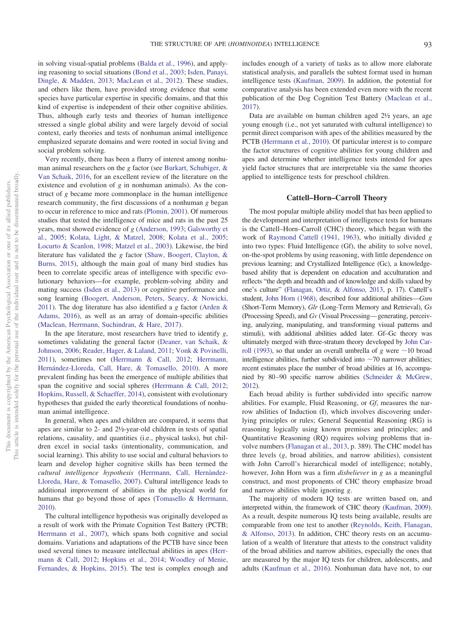in solving visual-spatial problems [\(Balda et al., 1996\)](#page-11-1), and applying reasoning to social situations [\(Bond et al., 2003;](#page-11-2) [Isden, Panayi,](#page-12-10) [Dingle, & Madden, 2013;](#page-12-10) [MacLean et al., 2012\)](#page-13-7). These studies, and others like them, have provided strong evidence that some species have particular expertise in specific domains, and that this kind of expertise is independent of their other cognitive abilities. Thus, although early tests and theories of human intelligence stressed a single global ability and were largely devoid of social context, early theories and tests of nonhuman animal intelligence emphasized separate domains and were rooted in social living and social problem solving.

Very recently, there has been a flurry of interest among nonhuman animal researchers on the *g* factor (see [Burkart, Schubiger, &](#page-11-3) [Van Schaik, 2016,](#page-11-3) for an excellent review of the literature on the existence and evolution of *g* in nonhuman animals). As the construct of *g* became more commonplace in the human intelligence research community, the first discussions of a nonhuman *g* began to occur in reference to mice and rats [\(Plomin, 2001\)](#page-13-8). Of numerous studies that tested the intelligence of mice and rats in the past 25 years, most showed evidence of *g* [\(Anderson, 1993;](#page-11-4) [Galsworthy et](#page-12-11) [al., 2005;](#page-12-11) [Kolata, Light, & Matzel, 2008;](#page-12-12) [Kolata et al., 2005;](#page-12-13) [Locurto & Scanlon, 1998;](#page-13-9) [Matzel et al., 2003\)](#page-13-10). Likewise, the bird literature has validated the *g* factor [\(Shaw, Boogert, Clayton, &](#page-13-11) [Burns, 2015\)](#page-13-11), although the main goal of many bird studies has been to correlate specific areas of intelligence with specific evolutionary behaviors—for example, problem-solving ability and mating success [\(Isden et al., 2013\)](#page-12-10) or cognitive performance and song learning [\(Boogert, Anderson, Peters, Searcy, & Nowicki,](#page-11-5) [2011\)](#page-11-5). The dog literature has also identified a *g* factor [\(Arden &](#page-11-6) [Adams, 2016\)](#page-11-6), as well as an array of domain-specific abilities [\(Maclean, Herrmann, Suchindran, & Hare, 2017\)](#page-13-12).

In the ape literature, most researchers have tried to identify *g*, sometimes validating the general factor [\(Deaner, van Schaik, &](#page-12-14) [Johnson, 2006;](#page-12-14) [Reader, Hager, & Laland, 2011;](#page-13-13) [Vonk & Povinelli,](#page-13-14) [2011\)](#page-13-14), sometimes not [\(Herrmann & Call, 2012;](#page-12-15) [Herrmann,](#page-12-16) [Hernández-Lloreda, Call, Hare, & Tomasello, 2010\)](#page-12-16). A more prevalent finding has been the emergence of multiple abilities that span the cognitive and social spheres [\(Herrmann & Call, 2012;](#page-12-15) [Hopkins, Russell, & Schaeffer, 2014\)](#page-12-17), consistent with evolutionary hypotheses that guided the early theoretical foundations of nonhuman animal intelligence.

In general, when apes and children are compared, it seems that apes are similar to 2- and 2½-year-old children in tests of spatial relations, causality, and quantities (i.e., physical tasks), but children excel in social tasks (intentionality, communication, and social learning). This ability to use social and cultural behaviors to learn and develop higher cognitive skills has been termed the *cultural intelligence hypothesis* (Herrmann, Call, Hernàndez-[Lloreda, Hare, & Tomasello, 2007\)](#page-12-18). Cultural intelligence leads to additional improvement of abilities in the physical world for humans that go beyond those of apes [\(Tomasello & Herrmann,](#page-13-15) [2010\)](#page-13-15).

The cultural intelligence hypothesis was originally developed as a result of work with the Primate Cognition Test Battery (PCTB; [Herrmann et al., 2007\)](#page-12-18), which spans both cognitive and social domains. Variations and adaptations of the PCTB have since been used several times to measure intellectual abilities in apes [\(Herr](#page-12-15)[mann & Call, 2012;](#page-12-15) [Hopkins et al., 2014;](#page-12-17) [Woodley of Menie,](#page-13-16) [Fernandes, & Hopkins, 2015\)](#page-13-16). The test is complex enough and

includes enough of a variety of tasks as to allow more elaborate statistical analysis, and parallels the subtest format used in human intelligence tests [\(Kaufman, 2009\)](#page-12-19). In addition, the potential for comparative analysis has been extended even more with the recent publication of the Dog Cognition Test Battery [\(Maclean et al.,](#page-13-12) [2017\)](#page-13-12).

Data are available on human children aged 2½ years, an age young enough (i.e., not yet saturated with cultural intelligence) to permit direct comparison with apes of the abilities measured by the PCTB [\(Herrmann et al., 2010\)](#page-12-16). Of particular interest is to compare the factor structures of cognitive abilities for young children and apes and determine whether intelligence tests intended for apes yield factor structures that are interpretable via the same theories applied to intelligence tests for preschool children.

# **Cattell–Horn–Carroll Theory**

The most popular multiple ability model that has been applied to the development and interpretation of intelligence tests for humans is the Cattell–Horn–Carroll (CHC) theory, which began with the work of [Raymond Cattell \(1941,](#page-12-20) [1963\)](#page-12-21), who initially divided *g* into two types: Fluid Intelligence (Gf), the ability to solve novel, on-the-spot problems by using reasoning, with little dependence on previous learning; and Crystallized Intelligence (Gc), a knowledgebased ability that is dependent on education and acculturation and reflects "the depth and breadth and of knowledge and skills valued by one's culture" [\(Flanagan, Ortiz, & Alfonso, 2013,](#page-12-22) p. 17). Cattell's student, [John Horn \(1968\),](#page-12-23) described four additional abilities—*Gsm* (Short-Term Memory), *Glr* (Long-Term Memory and Retrieval), *Gs* (Processing Speed), and *Gv* (Visual Processing— generating, perceiving, analyzing, manipulating, and transforming visual patterns and stimuli), with additional abilities added later. Gf–Gc theory was ultimately merged with three-stratum theory developed by [John Car](#page-12-8)[roll \(1993\),](#page-12-8) so that under an overall umbrella of  $g$  were  $\sim$ 10 broad intelligence abilities, further subdivided into  $\sim$  70 narrower abilities; recent estimates place the number of broad abilities at 16, accompanied by 80 –90 specific narrow abilities [\(Schneider & McGrew,](#page-13-5) [2012\)](#page-13-5).

Each broad ability is further subdivided into specific narrow abilities. For example, Fluid Reasoning, or *Gf*, measures the narrow abilities of Induction (I), which involves discovering underlying principles or rules; General Sequential Reasoning (RG) is reasoning logically using known premises and principles; and Quantitative Reasoning (RQ) requires solving problems that involve numbers [\(Flanagan et al., 2013,](#page-12-22) p. 389). The CHC model has three levels (*g*, broad abilities, and narrow abilities), consistent with John Carroll's hierarchical model of intelligence; notably, however, John Horn was a firm *disbeliever* in *g* as a meaningful construct, and most proponents of CHC theory emphasize broad and narrow abilities while ignoring *g*.

The majority of modern IQ tests are written based on, and interpreted within, the framework of CHC theory [\(Kaufman, 2009\)](#page-12-19). As a result, despite numerous IQ tests being available, results are comparable from one test to another [\(Reynolds, Keith, Flanagan,](#page-13-17) [& Alfonso, 2013\)](#page-13-17). In addition, CHC theory rests on an accumulation of a wealth of literature that attests to the construct validity of the broad abilities and narrow abilities, especially the ones that are measured by the major IQ tests for children, adolescents, and adults [\(Kaufman et al., 2016\)](#page-12-5). Nonhuman data have not, to our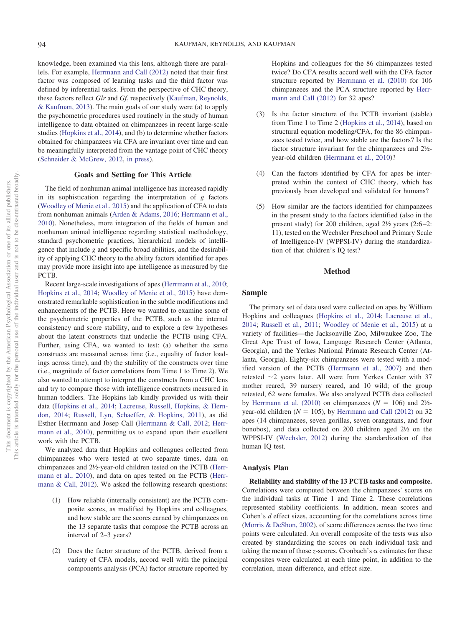knowledge, been examined via this lens, although there are parallels. For example, [Herrmann and Call \(2012\)](#page-12-15) noted that their first factor was composed of learning tasks and the third factor was defined by inferential tasks. From the perspective of CHC theory, these factors reflect *Glr* and *Gf*, respectively [\(Kaufman, Reynolds,](#page-12-24) [& Kaufman, 2013\)](#page-12-24). The main goals of our study were (a) to apply the psychometric procedures used routinely in the study of human intelligence to data obtained on chimpanzees in recent large-scale studies [\(Hopkins et al., 2014\)](#page-12-17), and (b) to determine whether factors obtained for chimpanzees via CFA are invariant over time and can be meaningfully interpreted from the vantage point of CHC theory [\(Schneider & McGrew, 2012,](#page-13-5) [in press\)](#page-13-6).

## **Goals and Setting for This Article**

The field of nonhuman animal intelligence has increased rapidly in its sophistication regarding the interpretation of *g* factors [\(Woodley of Menie et al., 2015\)](#page-13-16) and the application of CFA to data from nonhuman animals [\(Arden & Adams, 2016;](#page-11-6) [Herrmann et al.,](#page-12-16) [2010\)](#page-12-16). Nonetheless, more integration of the fields of human and nonhuman animal intelligence regarding statistical methodology, standard psychometric practices, hierarchical models of intelligence that include *g* and specific broad abilities, and the desirability of applying CHC theory to the ability factors identified for apes may provide more insight into ape intelligence as measured by the PCTB.

Recent large-scale investigations of apes [\(Herrmann et al., 2010;](#page-12-16) [Hopkins et al., 2014;](#page-12-17) [Woodley of Menie et al., 2015\)](#page-13-16) have demonstrated remarkable sophistication in the subtle modifications and enhancements of the PCTB. Here we wanted to examine some of the psychometric properties of the PCTB, such as the internal consistency and score stability, and to explore a few hypotheses about the latent constructs that underlie the PCTB using CFA. Further, using CFA, we wanted to test: (a) whether the same constructs are measured across time (i.e., equality of factor loadings across time), and (b) the stability of the constructs over time (i.e., magnitude of factor correlations from Time 1 to Time 2). We also wanted to attempt to interpret the constructs from a CHC lens and try to compare those with intelligence constructs measured in human toddlers. The Hopkins lab kindly provided us with their data [\(Hopkins et al., 2014;](#page-12-17) [Lacreuse, Russell, Hopkins, & Hern](#page-12-25)[don, 2014;](#page-12-25) [Russell, Lyn, Schaeffer, & Hopkins, 2011\)](#page-13-18), as did Esther Herrmann and Josep Call [\(Herrmann & Call, 2012;](#page-12-15) [Herr](#page-12-16)[mann et al., 2010\)](#page-12-16), permitting us to expand upon their excellent work with the PCTB.

We analyzed data that Hopkins and colleagues collected from chimpanzees who were tested at two separate times, data on chimpanzees and 2½-year-old children tested on the PCTB [\(Herr](#page-12-16)[mann et al., 2010\)](#page-12-16), and data on apes tested on the PCTB [\(Herr](#page-12-15)[mann & Call, 2012\)](#page-12-15). We asked the following research questions:

- (1) How reliable (internally consistent) are the PCTB composite scores, as modified by Hopkins and colleagues, and how stable are the scores earned by chimpanzees on the 13 separate tasks that compose the PCTB across an interval of 2–3 years?
- (2) Does the factor structure of the PCTB, derived from a variety of CFA models, accord well with the principal components analysis (PCA) factor structure reported by

Hopkins and colleagues for the 86 chimpanzees tested twice? Do CFA results accord well with the CFA factor structure reported by [Herrmann et al. \(2010\)](#page-12-16) for 106 chimpanzees and the PCA structure reported by [Herr](#page-12-15)[mann and Call \(2012\)](#page-12-15) for 32 apes?

- (3) Is the factor structure of the PCTB invariant (stable) from Time 1 to Time 2 [\(Hopkins et al., 2014\)](#page-12-17), based on structural equation modeling/CFA, for the 86 chimpanzees tested twice, and how stable are the factors? Is the factor structure invariant for the chimpanzees and 2½ year-old children [\(Herrmann et al., 2010\)](#page-12-16)?
- (4) Can the factors identified by CFA for apes be interpreted within the context of CHC theory, which has previously been developed and validated for humans?
- (5) How similar are the factors identified for chimpanzees in the present study to the factors identified (also in the present study) for 200 children, aged  $2\frac{1}{2}$  years (2:6-2: 11), tested on the Wechsler Preschool and Primary Scale of Intelligence-IV (WPPSI-IV) during the standardization of that children's IQ test?

## **Method**

## **Sample**

The primary set of data used were collected on apes by William Hopkins and colleagues [\(Hopkins et al., 2014;](#page-12-17) [Lacreuse et al.,](#page-12-25) [2014;](#page-12-25) [Russell et al., 2011;](#page-13-18) [Woodley of Menie et al., 2015\)](#page-13-16) at a variety of facilities—the Jacksonville Zoo, Milwaukee Zoo, The Great Ape Trust of Iowa, Language Research Center (Atlanta, Georgia), and the Yerkes National Primate Research Center (Atlanta, Georgia). Eighty-six chimpanzees were tested with a modified version of the PCTB [\(Herrmann et al., 2007\)](#page-12-18) and then retested  $\sim$ 2 years later. All were from Yerkes Center with 37 mother reared, 39 nursery reared, and 10 wild; of the group retested, 62 were females. We also analyzed PCTB data collected by [Herrmann et al. \(2010\)](#page-12-16) on chimpanzees ( $N = 106$ ) and 2<sup>1</sup>/<sub>2</sub>year-old children  $(N = 105)$ , by [Herrmann and Call \(2012\)](#page-12-15) on 32 apes (14 chimpanzees, seven gorillas, seven orangutans, and four bonobos), and data collected on 200 children aged 2½ on the WPPSI-IV [\(Wechsler, 2012\)](#page-13-19) during the standardization of that human IQ test.

#### **Analysis Plan**

**Reliability and stability of the 13 PCTB tasks and composite.** Correlations were computed between the chimpanzees' scores on the individual tasks at Time 1 and Time 2. These correlations represented stability coefficients. In addition, mean scores and Cohen's *d* effect sizes, accounting for the correlations across time [\(Morris & DeShon, 2002\)](#page-13-20), of score differences across the two time points were calculated. An overall composite of the tests was also created by standardizing the scores on each individual task and taking the mean of those *z*-scores. Cronbach's  $\alpha$  estimates for these composites were calculated at each time point, in addition to the correlation, mean difference, and effect size.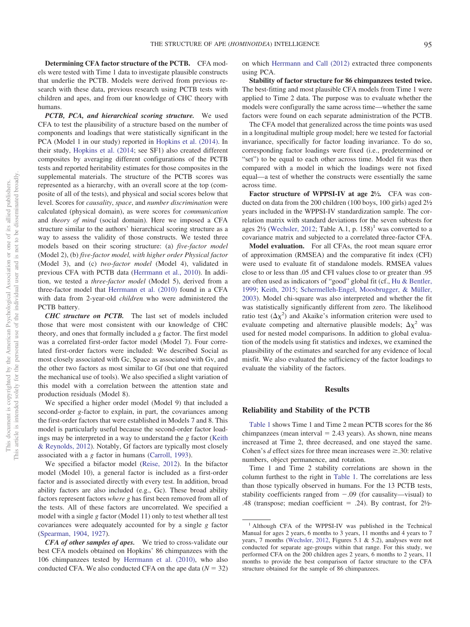**Determining CFA factor structure of the PCTB.** CFA models were tested with Time 1 data to investigate plausible constructs that underlie the PCTB. Models were derived from previous research with these data, previous research using PCTB tests with children and apes, and from our knowledge of CHC theory with humans.

*PCTB, PCA, and hierarchical scoring structure.* We used CFA to test the plausibility of a structure based on the number of components and loadings that were statistically significant in the PCA (Model 1 in our study) reported in [Hopkins et al. \(2014\).](#page-12-17) In their study, [Hopkins et al. \(2014;](#page-12-17) see SF1) also created different composites by averaging different configurations of the PCTB tests and reported heritability estimates for those composites in the supplemental materials. The structure of the PCTB scores was represented as a hierarchy, with an overall score at the top (composite of all of the tests), and physical and social scores below that level. Scores for *causality*, *space*, and *number discrimination* were calculated (physical domain), as were scores for *communication* and *theory of mind* (social domain). Here we imposed a CFA structure similar to the authors' hierarchical scoring structure as a way to assess the validity of those constructs. We tested three models based on their scoring structure: (a) *five-factor model* (Model 2), (b) *five-factor model, with higher order Physical factor* (Model 3), and (c) *two-factor model* (Model 4), validated in previous CFA with PCTB data [\(Herrmann et al., 2010\)](#page-12-16). In addition, we tested a *three-factor model* (Model 5), derived from a three-factor model that [Herrmann et al. \(2010\)](#page-12-16) found in a CFA with data from 2-year-old *children* who were administered the PCTB battery.

*CHC structure on PCTB.* The last set of models included those that were most consistent with our knowledge of CHC theory, and ones that formally included a *g* factor. The first model was a correlated first-order factor model (Model 7). Four correlated first-order factors were included: We described Social as most closely associated with Gc, Space as associated with Gv, and the other two factors as most similar to Gf (but one that required the mechanical use of tools). We also specified a slight variation of this model with a correlation between the attention state and production residuals (Model 8).

We specified a higher order model (Model 9) that included a second-order *g*-factor to explain, in part, the covariances among the first-order factors that were established in Models 7 and 8. This model is particularly useful because the second-order factor loadings may be interpreted in a way to understand the *g* factor [\(Keith](#page-12-26) [& Reynolds, 2012\)](#page-12-26). Notably, Gf factors are typically most closely associated with a *g* factor in humans [\(Carroll, 1993\)](#page-12-8).

We specified a bifactor model [\(Reise, 2012\)](#page-13-21). In the bifactor model (Model 10), a general factor is included as a first-order factor and is associated directly with every test. In addition, broad ability factors are also included (e.g., Gc). These broad ability factors represent factors *where g* has first been removed from all of the tests. All of these factors are uncorrelated. We specified a model with a single *g* factor (Model 11) only to test whether all test covariances were adequately accounted for by a single *g* factor [\(Spearman, 1904,](#page-13-0) [1927\)](#page-13-1).

*CFA of other samples of apes.* We tried to cross-validate our best CFA models obtained on Hopkins' 86 chimpanzees with the 106 chimpanzees tested by [Herrmann et al. \(2010\),](#page-12-16) who also conducted CFA. We also conducted CFA on the ape data  $(N = 32)$  on which [Herrmann and Call \(2012\)](#page-12-15) extracted three components using PCA.

**Stability of factor structure for 86 chimpanzees tested twice.** The best-fitting and most plausible CFA models from Time 1 were applied to Time 2 data. The purpose was to evaluate whether the models were configurally the same across time—whether the same factors were found on each separate administration of the PCTB.

The CFA model that generalized across the time points was used in a longitudinal multiple group model; here we tested for factorial invariance, specifically for factor loading invariance. To do so, corresponding factor loadings were fixed (i.e., predetermined or "set") to be equal to each other across time. Model fit was then compared with a model in which the loadings were not fixed equal—a test of whether the constructs were essentially the same across time.

**Factor structure of WPPSI-IV at age 2½.** CFA was conducted on data from the 200 children (100 boys, 100 girls) aged 2½ years included in the WPPSI-IV standardization sample. The correlation matrix with standard deviations for the seven subtests for ages  $2\frac{1}{2}$  [\(Wechsler, 2012;](#page-13-19) Table A.1, p. 158)<sup>1</sup> was converted to a covariance matrix and subjected to a correlated three-factor CFA.

**Model evaluation.** For all CFAs, the root mean square error of approximation (RMSEA) and the comparative fit index (CFI) were used to evaluate fit of standalone models. RMSEA values close to or less than .05 and CFI values close to or greater than .95 are often used as indicators of "good" global fit (cf., [Hu & Bentler,](#page-12-27) [1999;](#page-12-27) [Keith, 2015;](#page-12-28) [Schermelleh-Engel, Moosbrugger, & Müller,](#page-13-22) [2003\)](#page-13-22). Model chi-square was also interpreted and whether the fit was statistically significantly different from zero. The likelihood ratio test  $(\Delta \chi^2)$  and Akaike's information criterion were used to evaluate competing and alternative plausible models;  $\Delta \chi^2$  was used for nested model comparisons. In addition to global evaluation of the models using fit statistics and indexes, we examined the plausibility of the estimates and searched for any evidence of local misfit. We also evaluated the sufficiency of the factor loadings to evaluate the viability of the factors.

## **Results**

## **Reliability and Stability of the PCTB**

[Table 1](#page-4-0) shows Time 1 and Time 2 mean PCTB scores for the 86 chimpanzees (mean interval  $= 2.43$  years). As shown, nine means increased at Time 2, three decreased, and one stayed the same. Cohen's  $d$  effect sizes for three mean increases were  $\geq$ .30: relative numbers, object permanence, and rotation.

Time 1 and Time 2 stability correlations are shown in the column furthest to the right in [Table 1.](#page-4-0) The correlations are less than those typically observed in humans. For the 13 PCTB tests, stability coefficients ranged from  $-.09$  (for causality—visual) to .48 (transpose; median coefficient  $=$  .24). By contrast, for  $2\frac{1}{2}$ -

<sup>&</sup>lt;sup>1</sup> Although CFA of the WPPSI-IV was published in the Technical Manual for ages 2 years, 6 months to 3 years, 11 months and 4 years to 7 years, 7 months [\(Wechsler, 2012,](#page-13-19) Figures 5.1 & 5.2), analyses were not conducted for separate age-groups within that range. For this study, we performed CFA on the 200 children ages 2 years, 6 months to 2 years, 11 months to provide the best comparison of factor structure to the CFA structure obtained for the sample of 86 chimpanzees.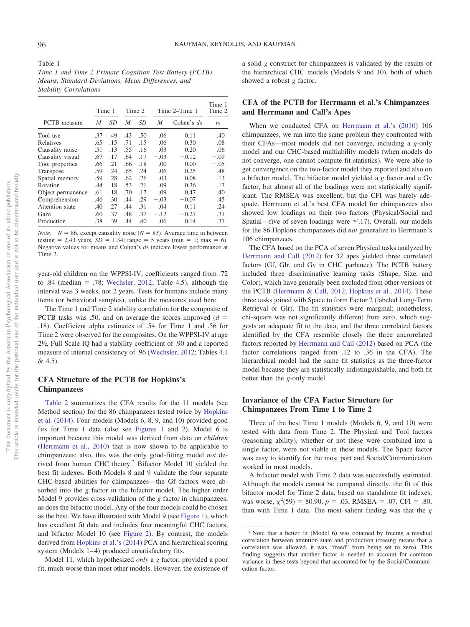<span id="page-4-0"></span>Table 1 *Time 1 and Time 2 Primate Cognition Test Battery (PCTB) Means, Standard Deviations, Mean Differences, and Stability Correlations*

|                     | Time 1 |                 |     | Time 2 |        | Time 2–Time 1 | Time 1<br>Time 2 |
|---------------------|--------|-----------------|-----|--------|--------|---------------|------------------|
| <b>PCTB</b> measure | M      | SD <sub>3</sub> | M   | SD     | M      | Cohen's $ds$  | rs               |
| Tool use            | .37    | .49             | .43 | .50    | .06    | 0.11          | .40              |
| Relatives           | .65    | .15             | .71 | .15    | .06    | 0.30          | .08              |
| Causality noise     | .51    | .13             | .55 | .16    | .03    | 0.20          | .06              |
| Causality visual    | .67    | .17             | .64 | .17    | $-.03$ | $-0.12$       | $-.09$           |
| Tool properties     | .66    | .21             | .66 | .18    | .00    | 0.00          | $-.05$           |
| Transpose           | .59    | .24             | .65 | .24    | .06    | 0.25          | .48              |
| Spatial memory      | .59    | .28             | .62 | .26    | .03    | 0.08          | .13              |
| Rotation            | .44    | .18             | .53 | .21    | .09    | 0.36          | .17              |
| Object permanence   | .61    | .18             | .70 | .17    | .09    | 0.47          | .40              |
| Comprehension       | .46    | .30             | .44 | .29    | $-.03$ | $-0.07$       | .45              |
| Attention state     | .40    | .27             | .44 | .31    | .04    | 0.11          | .24              |
| Gaze                | .60    | .37             | .48 | .37    | $-.12$ | $-0.27$       | .31              |
| Production          | .38    | .39             | .44 | .40    | .06    | 0.14          | .37              |

*Note.*  $N = 86$ , except causality noise ( $N = 83$ ). Average time in between testing  $= 2.43$  years,  $SD = 1.34$ ; range  $= 5$  years (min  $= 1$ ; max  $= 6$ ). Negative values for means and Cohen's *d*s indicate lower performance at Time 2.

year-old children on the WPPSI-IV, coefficients ranged from .72 to .84 (median  $= .78$ ; [Wechsler, 2012;](#page-13-19) Table 4.5), although the interval was 3 weeks, not 2 years. Tests for humans include many items (or behavioral samples), unlike the measures used here.

The Time 1 and Time 2 stability correlation for the composite of PCTB tasks was .50, and on average the scores improved  $(d =$ .18). Coefficient alpha estimates of .54 for Time 1 and .56 for Time 2 were observed for the composites. On the WPPSI-IV at age 2½, Full Scale IQ had a stability coefficient of .90 and a reported measure of internal consistency of .96 [\(Wechsler, 2012;](#page-13-19) Tables 4.1 & 4.5).

# **CFA Structure of the PCTB for Hopkins's Chimpanzees**

[Table 2](#page-5-0) summarizes the CFA results for the 11 models (see Method section) for the 86 chimpanzees tested twice by [Hopkins](#page-12-17) [et al. \(2014\).](#page-12-17) Four models (Models 6, 8, 9, and 10) provided good fits for Time 1 data (also see [Figures 1](#page-6-0) and [2\)](#page-7-0). Model 6 is important because this model was derived from data on *children* [\(Herrmann et al., 2010\)](#page-12-16) that is now shown to be applicable to chimpanzees; also, this was the only good-fitting model *not* derived from human CHC theory.2 Bifactor Model 10 yielded the best fit indexes. Both Models 8 and 9 validate the four separate CHC-based abilities for chimpanzees—the Gf factors were absorbed into the *g* factor in the bifactor model. The higher order Model 9 provides cross-validation of the *g* factor in chimpanzees, as does the bifactor model. Any of the four models could be chosen as the best. We have illustrated with Model 9 (see [Figure 1\)](#page-6-0), which has excellent fit data and includes four meaningful CHC factors, and bifactor Model 10 (see [Figure 2\)](#page-7-0). By contrast, the models derived from [Hopkins et al.'s \(2014\)](#page-12-17) PCA and hierarchical scoring system (Models  $1-4$ ) produced unsatisfactory fits.

Model 11, which hypothesized *only* a *g* factor, provided a poor fit, much worse than most other models. However, the existence of a solid *g* construct for chimpanzees is validated by the results of the hierarchical CHC models (Models 9 and 10), both of which showed a robust *g* factor.

# **CFA of the PCTB for Herrmann et al.'s Chimpanzees and Herrmann and Call's Apes**

When we conducted CFA on [Herrmann et al.'s \(2010\)](#page-12-16) 106 chimpanzees, we ran into the same problem they confronted with their CFAs—most models did not converge, including a *g*-only model and our CHC-based multiability models (when models do not converge, one cannot compute fit statistics). We were able to get convergence on the two-factor model they reported and also on a bifactor model. The bifactor model yielded a *g* factor and a Gv factor, but almost all of the loadings were not statistically significant. The RMSEA was excellent, but the CFI was barely adequate. Herrmann et al.'s best CFA model for chimpanzees also showed low loadings on their two factors (Physical/Social and Spatial—five of seven loadings were  $\leq$ .17). Overall, our models for the 86 Hopkins chimpanzees did *not* generalize to Herrmann's 106 chimpanzees.

The CFA based on the PCA of seven Physical tasks analyzed by [Herrmann and Call \(2012\)](#page-12-15) for 32 apes yielded three correlated factors (Gf, Glr, and Gv in CHC parlance). The PCTB battery included three discriminative learning tasks (Shape, Size, and Color), which have generally been excluded from other versions of the PCTB [\(Herrmann & Call, 2012;](#page-12-15) [Hopkins et al., 2014\)](#page-12-17). These three tasks joined with Space to form Factor 2 (labeled Long-Term Retrieval or Glr). The fit statistics were marginal; nonetheless, chi-square was not significantly different from zero, which suggests an adequate fit to the data, and the three correlated factors identified by the CFA resemble closely the three uncorrelated factors reported by [Herrmann and Call \(2012\)](#page-12-15) based on PCA (the factor correlations ranged from .12 to .36 in the CFA). The hierarchical model had the same fit statistics as the three-factor model because they are statistically indistinguishable, and both fit better than the *g*-only model.

# **Invariance of the CFA Factor Structure for Chimpanzees From Time 1 to Time 2**

Three of the best Time 1 models (Models 6, 9, and 10) were tested with data from Time 2. The Physical and Tool factors (reasoning ability), whether or not these were combined into a single factor, were not viable in these models. The Space factor was easy to identify for the most part and Social/Communication worked in most models.

A bifactor model with Time 2 data was successfully estimated. Although the models cannot be compared directly, the fit of this bifactor model for Time 2 data, based on standalone fit indexes, was worse,  $\chi^2$ (59) = 80.90,  $p = .03$ , RMSEA = .07, CFI = .80, than with Time 1 data. The most salient finding was that the *g*

 $2$  Note that a better fit (Model 6) was obtained by freeing a residual correlation between attention state and production (freeing means that a correlation was allowed, it was "freed" from being set to zero). This finding suggests that another factor is needed to account for common variance in these tests beyond that accounted for by the Social/Communication factor.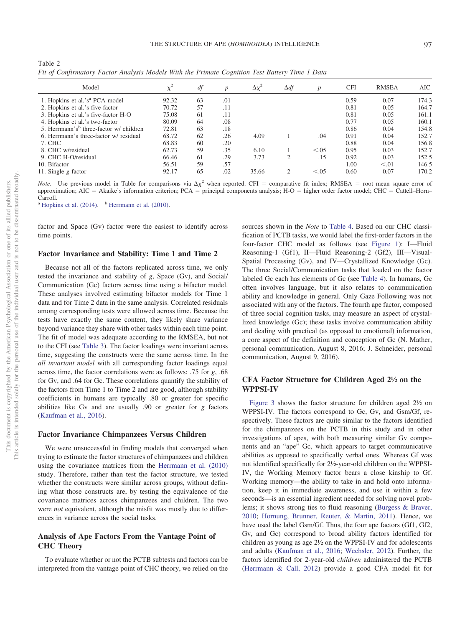<span id="page-5-0"></span>

| Table 2                                                                                        |  |  |  |  |  |
|------------------------------------------------------------------------------------------------|--|--|--|--|--|
| Fit of Confirmatory Factor Analysis Models With the Primate Cognition Test Battery Time 1 Data |  |  |  |  |  |

| Model                                               | ν÷    | df | $\boldsymbol{p}$ | $\Delta \chi^2$ | $\Delta df$    | $\boldsymbol{p}$ | <b>CFI</b> | <b>RMSEA</b> | AIC   |
|-----------------------------------------------------|-------|----|------------------|-----------------|----------------|------------------|------------|--------------|-------|
| 1. Hopkins et al.'s <sup>a</sup> PCA model          | 92.32 | 63 | .01              |                 |                |                  | 0.59       | 0.07         | 174.3 |
| 2. Hopkins et al.'s five-factor                     | 70.72 | 57 | .11              |                 |                |                  | 0.81       | 0.05         | 164.7 |
| 3. Hopkins et al.'s five-factor H-O                 | 75.08 | 61 | .11              |                 |                |                  | 0.81       | 0.05         | 161.1 |
| 4. Hopkins et al.'s two-factor                      | 80.09 | 64 | .08              |                 |                |                  | 0.77       | 0.05         | 160.1 |
| 5. Herrmann's <sup>b</sup> three-factor w/ children | 72.81 | 63 | .18              |                 |                |                  | 0.86       | 0.04         | 154.8 |
| 6. Herrmann's three-factor w/ residual              | 68.72 | 62 | .26              | 4.09            |                | .04              | 0.91       | 0.04         | 152.7 |
| 7. CHC                                              | 68.83 | 60 | .20              |                 |                |                  | 0.88       | 0.04         | 156.8 |
| 8. CHC w/residual                                   | 62.73 | 59 | .35              | 6.10            |                | < 0.05           | 0.95       | 0.03         | 152.7 |
| 9. CHC H-O/residual                                 | 66.46 | 61 | .29              | 3.73            | $\overline{c}$ | .15              | 0.92       | 0.03         | 152.5 |
| 10. Bifactor                                        | 56.51 | 59 | .57              |                 |                |                  | 1.00       | < 0.01       | 146.5 |
| 11. Single $g$ factor                               | 92.17 | 65 | .02              | 35.66           | $\mathcal{D}$  | < 0.05           | 0.60       | 0.07         | 170.2 |

*Note*. Use previous model in Table for comparisons via  $\Delta \chi^2$  when reported. CFI = comparative fit index; RMSEA = root mean square error of approximation; AIC = Akaike's information criterion; PCA = principal components analysis; H-O = higher order factor model; CHC = Cattell-Horn-Carroll.

<sup>a</sup> [Hopkins et al. \(2014\).](#page-12-17)  $\overline{b}$  [Herrmann et al. \(2010\).](#page-12-16)

factor and Space (Gv) factor were the easiest to identify across time points.

#### **Factor Invariance and Stability: Time 1 and Time 2**

Because not all of the factors replicated across time, we only tested the invariance and stability of *g*, Space (Gv), and Social/ Communication (Gc) factors across time using a bifactor model. These analyses involved estimating bifactor models for Time 1 data and for Time 2 data in the same analysis. Correlated residuals among corresponding tests were allowed across time. Because the tests have exactly the same content, they likely share variance beyond variance they share with other tasks within each time point. The fit of model was adequate according to the RMSEA, but not to the CFI (see [Table 3\)](#page-8-0). The factor loadings were invariant across time, suggesting the constructs were the same across time. In the *all invariant model* with all corresponding factor loadings equal across time, the factor correlations were as follows: .75 for *g*, .68 for Gv, and .64 for Gc. These correlations quantify the stability of the factors from Time 1 to Time 2 and are good, although stability coefficients in humans are typically .80 or greater for specific abilities like Gv and are usually .90 or greater for *g* factors [\(Kaufman et al., 2016\)](#page-12-5).

## **Factor Invariance Chimpanzees Versus Children**

We were unsuccessful in finding models that converged when trying to estimate the factor structures of chimpanzees and children using the covariance matrices from the [Herrmann et al. \(2010\)](#page-12-16) study. Therefore, rather than test the factor structure, we tested whether the constructs were similar across groups, without defining what those constructs are, by testing the equivalence of the covariance matrices across chimpanzees and children. The two were *not* equivalent, although the misfit was mostly due to differences in variance across the social tasks.

# **Analysis of Ape Factors From the Vantage Point of CHC Theory**

To evaluate whether or not the PCTB subtests and factors can be interpreted from the vantage point of CHC theory, we relied on the

sources shown in the *Note* to [Table 4.](#page-9-0) Based on our CHC classification of PCTB tasks, we would label the first-order factors in the four-factor CHC model as follows (see [Figure 1\)](#page-6-0): I—Fluid Reasoning-1 (Gf1), II—Fluid Reasoning-2 (Gf2), III—Visual-Spatial Processing (Gv), and IV—Crystallized Knowledge (Gc). The three Social/Communication tasks that loaded on the factor labeled Gc each has elements of Gc (see [Table 4\)](#page-9-0). In humans, Gc often involves language, but it also relates to communication ability and knowledge in general. Only Gaze Following was not associated with any of the factors. The fourth ape factor, composed of three social cognition tasks, may measure an aspect of crystallized knowledge (Gc); these tasks involve communication ability and dealing with practical (as opposed to emotional) information, a core aspect of the definition and conception of Gc (N. Mather, personal communication, August 8, 2016; J. Schneider, personal communication, August 9, 2016).

## **CFA Factor Structure for Children Aged 2½ on the WPPSI-IV**

[Figure 3](#page-10-0) shows the factor structure for children aged 2½ on WPPSI-IV. The factors correspond to Gc, Gv, and Gsm/Gf, respectively. These factors are quite similar to the factors identified for the chimpanzees on the PCTB in this study and in other investigations of apes, with both measuring similar Gv components and an "ape" Gc, which appears to target communicative abilities as opposed to specifically verbal ones. Whereas Gf was not identified specifically for 2½-year-old children on the WPPSI-IV, the Working Memory factor bears a close kinship to Gf. Working memory—the ability to take in and hold onto information, keep it in immediate awareness, and use it within a few seconds—is an essential ingredient needed for solving novel problems; it shows strong ties to fluid reasoning [\(Burgess & Braver,](#page-11-7) [2010;](#page-11-7) [Hornung, Brunner, Reuter, & Martin, 2011\)](#page-12-29). Hence, we have used the label Gsm/Gf. Thus, the four ape factors (Gf1, Gf2, Gv, and Gc) correspond to broad ability factors identified for children as young as age 2½ on the WPPSI-IV and for adolescents and adults [\(Kaufman et al., 2016;](#page-12-5) [Wechsler, 2012\)](#page-13-19). Further, the factors identified for 2-year-old *children* administered the PCTB [\(Herrmann & Call, 2012\)](#page-12-15) provide a good CFA model fit for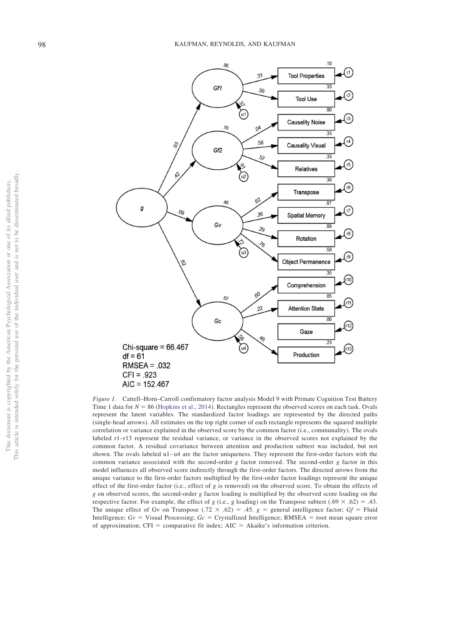

<span id="page-6-0"></span>*Figure 1.* Cattell–Horn–Carroll confirmatory factor analysis Model 9 with Primate Cognition Test Battery Time 1 data for  $N = 86$  [\(Hopkins et al., 2014\)](#page-12-17). Rectangles represent the observed scores on each task. Ovals represent the latent variables. The standardized factor loadings are represented by the directed paths (single-head arrows). All estimates on the top right corner of each rectangle represents the squared multiple correlation or variance explained in the observed score by the common factor (i.e., communality). The ovals labeled r1–r13 represent the residual variance, or variance in the observed scores not explained by the common factor. A residual covariance between attention and production subtest was included, but not shown. The ovals labeled u1-u4 are the factor uniqueness. They represent the first-order factors with the common variance associated with the second-order *g* factor removed. The second-order *g* factor in this model influences all observed score indirectly through the first-order factors. The directed arrows from the unique variance to the first-order factors multiplied by the first-order factor loadings represent the unique effect of the first-order factor (i.e., effect of *g* is removed) on the observed score. To obtain the effects of *g* on observed scores, the second-order *g* factor loading is multiplied by the observed score loading on the respective factor. For example, the effect of *g* (i.e., g loading) on the Transpose subtest (.69  $\times$  .62) = .43. The unique effect of Gv on Transpose (.72  $\times$  .62) = .45. *g* = general intelligence factor; Gf = Fluid Intelligence;  $Gv =$  Visual Processing;  $Gc =$  Crystallized Intelligence; RMSEA = root mean square error of approximation;  $CFI =$  comparative fit index;  $AIC = Akaike's$  information criterion.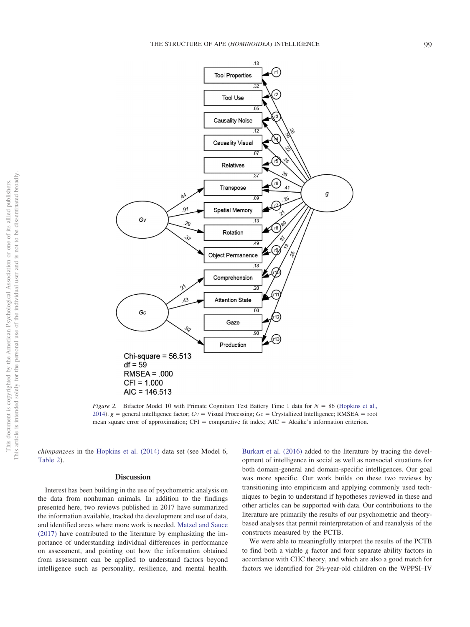

<span id="page-7-0"></span>*Figure 2.* Bifactor Model 10 with Primate Cognition Test Battery Time 1 data for  $N = 86$  [\(Hopkins et al.,](#page-12-17) [2014\)](#page-12-17).  $g =$  general intelligence factor;  $Gv =$  Visual Processing;  $Gc =$  Crystallized Intelligence; RMSEA = root mean square error of approximation;  $CFI = \text{comparative fit index}$ ;  $AIC = Akaike's \text{ information criterion}$ .

*chimpanzees* in the [Hopkins et al. \(2014\)](#page-12-17) data set (see Model 6, [Table 2\)](#page-5-0).

#### **Discussion**

Interest has been building in the use of psychometric analysis on the data from nonhuman animals. In addition to the findings presented here, two reviews published in 2017 have summarized the information available, tracked the development and use of data, and identified areas where more work is needed. [Matzel and Sauce](#page-13-23) [\(2017\)](#page-13-23) have contributed to the literature by emphasizing the importance of understanding individual differences in performance on assessment, and pointing out how the information obtained from assessment can be applied to understand factors beyond intelligence such as personality, resilience, and mental health.

[Burkart et al. \(2016\)](#page-11-3) added to the literature by tracing the development of intelligence in social as well as nonsocial situations for both domain-general and domain-specific intelligences. Our goal was more specific. Our work builds on these two reviews by transitioning into empiricism and applying commonly used techniques to begin to understand if hypotheses reviewed in these and other articles can be supported with data. Our contributions to the literature are primarily the results of our psychometric and theorybased analyses that permit reinterpretation of and reanalysis of the constructs measured by the PCTB.

We were able to meaningfully interpret the results of the PCTB to find both a viable *g* factor and four separate ability factors in accordance with CHC theory, and which are also a good match for factors we identified for 2½-year-old children on the WPPSI–IV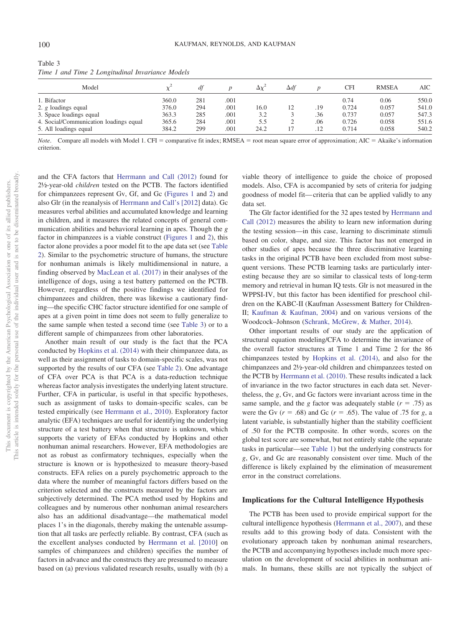| Model                                  |       |     |      | $\Delta x^2$ | $\Delta df$ |     | CFI   | <b>RMSEA</b> | AIC   |
|----------------------------------------|-------|-----|------|--------------|-------------|-----|-------|--------------|-------|
|                                        |       |     |      |              |             |     |       |              |       |
| 1. Bifactor                            | 360.0 | 281 | .001 |              |             |     | 0.74  | 0.06         | 550.0 |
| 2. $g$ loadings equal                  | 376.0 | 294 | .001 | 16.0         | 12          | .19 | 0.724 | 0.057        | 541.0 |
| 3. Space loadings equal                | 363.3 | 285 | .001 | 3.2          |             | .36 | 0.737 | 0.057        | 547.3 |
| 4. Social/Communication loadings equal | 365.6 | 284 | .001 | 5.5          | ∠           | .06 | 0.726 | 0.058        | 551.6 |
| 5. All loadings equal                  | 384.2 | 299 | .001 | 24.2         |             | .12 | 0.714 | 0.058        | 540.2 |

<span id="page-8-0"></span>Table 3 *Time 1 and Time 2 Longitudinal Invariance Models*

*Note.* Compare all models with Model 1. CFI = comparative fit index; RMSEA = root mean square error of approximation; AIC = Akaike's information criterion.

and the CFA factors that [Herrmann and Call \(2012\)](#page-12-15) found for 2½-year-old *children* tested on the PCTB. The factors identified for chimpanzees represent Gv, Gf, and Gc [\(Figures 1](#page-6-0) and [2\)](#page-7-0) and also Glr (in the reanalysis of [Herrmann and Call's \[2012\]](#page-12-15) data). Gc measures verbal abilities and accumulated knowledge and learning in children, and it measures the related concepts of general communication abilities and behavioral learning in apes. Though the *g* factor in chimpanzees is a viable construct [\(Figures 1](#page-6-0) and [2\)](#page-7-0), this factor alone provides a poor model fit to the ape data set (see [Table](#page-5-0) [2\)](#page-5-0). Similar to the psychometric structure of humans, the structure for nonhuman animals is likely multidimensional in nature, a finding observed by [MacLean et al. \(2017\)](#page-13-12) in their analyses of the intelligence of dogs, using a test battery patterned on the PCTB. However, regardless of the positive findings we identified for chimpanzees and children, there was likewise a cautionary finding—the specific CHC factor structure identified for one sample of apes at a given point in time does not seem to fully generalize to the same sample when tested a second time (see [Table 3\)](#page-8-0) or to a different sample of chimpanzees from other laboratories.

Another main result of our study is the fact that the PCA conducted by [Hopkins et al. \(2014\)](#page-12-17) with their chimpanzee data, as well as their assignment of tasks to domain-specific scales, was not supported by the results of our CFA (see [Table 2\)](#page-5-0). One advantage of CFA over PCA is that PCA is a data-reduction technique whereas factor analysis investigates the underlying latent structure. Further, CFA in particular, is useful in that specific hypotheses, such as assignment of tasks to domain-specific scales, can be tested empirically (see [Herrmann et al., 2010\)](#page-12-16). Exploratory factor analytic (EFA) techniques are useful for identifying the underlying structure of a test battery when that structure is unknown, which supports the variety of EFAs conducted by Hopkins and other nonhuman animal researchers. However, EFA methodologies are not as robust as confirmatory techniques, especially when the structure is known or is hypothesized to measure theory-based constructs. EFA relies on a purely psychometric approach to the data where the number of meaningful factors differs based on the criterion selected and the constructs measured by the factors are subjectively determined. The PCA method used by Hopkins and colleagues and by numerous other nonhuman animal researchers also has an additional disadvantage—the mathematical model places 1's in the diagonals, thereby making the untenable assumption that all tasks are perfectly reliable. By contrast, CFA (such as the excellent analyses conducted by [Herrmann et al. \[2010\]](#page-12-16) on samples of chimpanzees and children) specifies the number of factors in advance and the constructs they are presumed to measure based on (a) previous validated research results, usually with (b) a

viable theory of intelligence to guide the choice of proposed models. Also, CFA is accompanied by sets of criteria for judging goodness of model fit— criteria that can be applied validly to any data set.

The Glr factor identified for the 32 apes tested by [Herrmann and](#page-12-15) [Call \(2012\)](#page-12-15) measures the ability to learn new information during the testing session—in this case, learning to discriminate stimuli based on color, shape, and size. This factor has not emerged in other studies of apes because the three discriminative learning tasks in the original PCTB have been excluded from most subsequent versions. These PCTB learning tasks are particularly interesting because they are so similar to classical tests of long-term memory and retrieval in human IQ tests. Glr is not measured in the WPPSI-IV, but this factor has been identified for preschool children on the KABC-II (Kaufman Assessment Battery for Children-II; [Kaufman & Kaufman, 2004\)](#page-12-30) and on various versions of the Woodcock–Johnson [\(Schrank, McGrew, & Mather, 2014\)](#page-13-24).

Other important results of our study are the application of structural equation modeling/CFA to determine the invariance of the overall factor structures at Time 1 and Time 2 for the 86 chimpanzees tested by [Hopkins et al. \(2014\),](#page-12-17) and also for the chimpanzees and 2½-year-old children and chimpanzees tested on the PCTB by [Herrmann et al. \(2010\).](#page-12-16) These results indicated a lack of invariance in the two factor structures in each data set. Nevertheless, the *g*, Gv, and Gc factors were invariant across time in the same sample, and the *g* factor was adequately stable  $(r = .75)$  as were the Gv  $(r = .68)$  and Gc  $(r = .65)$ . The value of .75 for *g*, a latent variable, is substantially higher than the stability coefficient of .50 for the PCTB composite. In other words, scores on the global test score are somewhat, but not entirely stable (the separate tasks in particular—see [Table 1\)](#page-4-0) but the underlying constructs for *g*, Gv, and Gc are reasonably consistent over time. Much of the difference is likely explained by the elimination of measurement error in the construct correlations.

# **Implications for the Cultural Intelligence Hypothesis**

The PCTB has been used to provide empirical support for the cultural intelligence hypothesis [\(Herrmann et al., 2007\)](#page-12-18), and these results add to this growing body of data. Consistent with the evolutionary approach taken by nonhuman animal researchers, the PCTB and accompanying hypotheses include much more speculation on the development of social abilities in nonhuman animals. In humans, these skills are not typically the subject of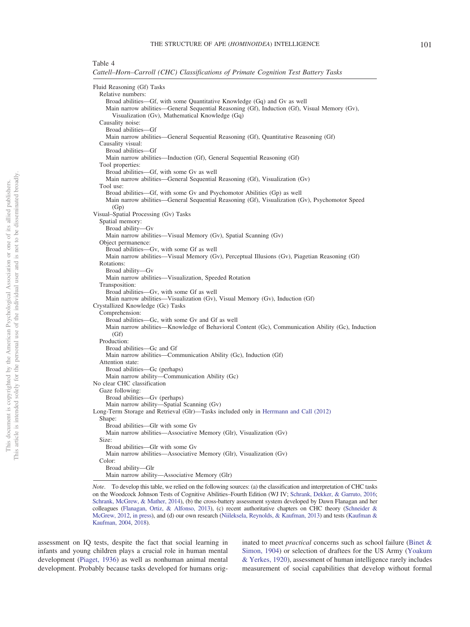## <span id="page-9-0"></span>Table 4

*Cattell–Horn–Carroll (CHC) Classifications of Primate Cognition Test Battery Tasks*

| Fluid Reasoning (Gf) Tasks                                                                        |
|---------------------------------------------------------------------------------------------------|
| Relative numbers:                                                                                 |
| Broad abilities—Gf, with some Quantitative Knowledge (Gq) and Gv as well                          |
| Main narrow abilities—General Sequential Reasoning (Gf), Induction (Gf), Visual Memory (Gv),      |
| Visualization (Gv), Mathematical Knowledge (Gq)                                                   |
| Causality noise:                                                                                  |
| Broad abilities-Gf                                                                                |
| Main narrow abilities—General Sequential Reasoning (Gf), Quantitative Reasoning (Gf)              |
| Causality visual:                                                                                 |
| Broad abilities-Gf                                                                                |
| Main narrow abilities—Induction (Gf), General Sequential Reasoning (Gf)                           |
| Tool properties:                                                                                  |
| Broad abilities—Gf, with some Gv as well                                                          |
| Main narrow abilities—General Sequential Reasoning (Gf), Visualization (Gv)                       |
| Tool use:                                                                                         |
| Broad abilities—Gf, with some Gv and Psychomotor Abilities (Gp) as well                           |
| Main narrow abilities—General Sequential Reasoning (Gf), Visualization (Gv), Psychomotor Speed    |
| (Gp)                                                                                              |
| Visual-Spatial Processing (Gv) Tasks                                                              |
| Spatial memory:                                                                                   |
| Broad ability-Gv                                                                                  |
| Main narrow abilities—Visual Memory (Gv), Spatial Scanning (Gv)                                   |
| Object permanence:                                                                                |
| Broad abilities-Gv, with some Gf as well                                                          |
| Main narrow abilities—Visual Memory (Gv), Perceptual Illusions (Gv), Piagetian Reasoning (Gf)     |
| Rotations:                                                                                        |
| Broad ability—Gv                                                                                  |
| Main narrow abilities-Visualization, Speeded Rotation                                             |
| Transposition:                                                                                    |
| Broad abilities—Gv, with some Gf as well                                                          |
| Main narrow abilities—Visualization (Gv), Visual Memory (Gv), Induction (Gf)                      |
| Crystallized Knowledge (Gc) Tasks                                                                 |
| Comprehension:                                                                                    |
| Broad abilities—Gc, with some Gv and Gf as well                                                   |
| Main narrow abilities—Knowledge of Behavioral Content (Gc), Communication Ability (Gc), Induction |
| (Gf)                                                                                              |
| Production:                                                                                       |
| Broad abilities-Gc and Gf                                                                         |
| Main narrow abilities—Communication Ability (Gc), Induction (Gf)                                  |
| Attention state:                                                                                  |
| Broad abilities—Gc (perhaps)                                                                      |
| Main narrow ability-Communication Ability (Gc)                                                    |
| No clear CHC classification                                                                       |
| Gaze following:                                                                                   |
| Broad abilities-Gv (perhaps)                                                                      |
| Main narrow ability-Spatial Scanning (Gv)                                                         |
| Long-Term Storage and Retrieval (Glr)—Tasks included only in Herrmann and Call (2012)             |
| Shape:                                                                                            |
| Broad abilities-Glr with some Gv                                                                  |
| Main narrow abilities—Associative Memory (Glr), Visualization (Gv)                                |
| Size:                                                                                             |
| Broad abilities-Glr with some Gv                                                                  |
| Main narrow abilities—Associative Memory (Glr), Visualization (Gv)                                |
| Color:                                                                                            |
| Broad ability-Glr                                                                                 |
| Main narrow ability-Associative Memory (Glr)                                                      |

*Note*. To develop this table, we relied on the following sources: (a) the classification and interpretation of CHC tasks on the Woodcock Johnson Tests of Cognitive Abilities–Fourth Edition (WJ IV; [Schrank, Dekker, & Garruto, 2016;](#page-13-27) [Schrank, McGrew, & Mather, 2014\)](#page-13-24), (b) the cross-battery assessment system developed by Dawn Flanagan and her colleagues [\(Flanagan, Ortiz, & Alfonso, 2013\)](#page-12-22), (c) recent authoritative chapters on CHC theory [\(Schneider &](#page-13-5) [McGrew, 2012,](#page-13-5) [in press\)](#page-13-6), and (d) our own research [\(Niileksela, Reynolds, & Kaufman, 2013\)](#page-13-28) and tests [\(Kaufman &](#page-12-30) [Kaufman, 2004,](#page-12-30) [2018\)](#page-12-31).

assessment on IQ tests, despite the fact that social learning in infants and young children plays a crucial role in human mental development [\(Piaget, 1936\)](#page-13-25) as well as nonhuman animal mental development. Probably because tasks developed for humans originated to meet *practical* concerns such as school failure [\(Binet &](#page-11-0) [Simon, 1904\)](#page-11-0) or selection of draftees for the US Army [\(Yoakum](#page-13-26) [& Yerkes, 1920\)](#page-13-26), assessment of human intelligence rarely includes measurement of social capabilities that develop without formal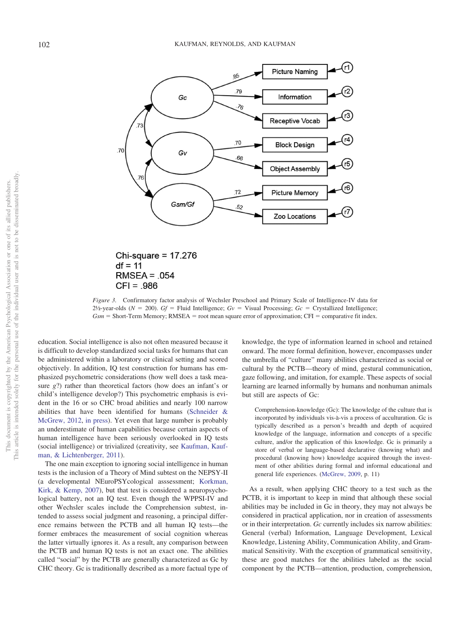

Chi-square =  $17.276$  $df = 11$  $RMSEA = .054$  $CFI = .986$ 

<span id="page-10-0"></span>*Figure 3.* Confirmatory factor analysis of Wechsler Preschool and Primary Scale of Intelligence-IV data for  $2\frac{1}{2}$ -year-olds ( $N = 200$ ).  $Gf =$  Fluid Intelligence;  $Gv =$  Visual Processing;  $Gc =$  Crystallized Intelligence;  $Gsm =$  Short-Term Memory; RMSEA = root mean square error of approximation; CFI = comparative fit index.

education. Social intelligence is also not often measured because it is difficult to develop standardized social tasks for humans that can be administered within a laboratory or clinical setting and scored objectively. In addition, IQ test construction for humans has emphasized psychometric considerations (how well does a task measure *g*?) rather than theoretical factors (how does an infant's or child's intelligence develop?) This psychometric emphasis is evident in the 16 or so CHC broad abilities and nearly 100 narrow abilities that have been identified for humans [\(Schneider &](#page-13-5) [McGrew, 2012,](#page-13-5) [in press\)](#page-13-6). Yet even that large number is probably an underestimate of human capabilities because certain aspects of human intelligence have been seriously overlooked in IQ tests (social intelligence) or trivialized (creativity, see [Kaufman, Kauf](#page-12-32)[man, & Lichtenberger, 2011\)](#page-12-32).

The one main exception to ignoring social intelligence in human tests is the inclusion of a Theory of Mind subtest on the NEPSY-II (a developmental NEuroPSYcological asssessment; [Korkman,](#page-12-33) [Kirk, & Kemp, 2007\)](#page-12-33), but that test is considered a neuropsychological battery, not an IQ test. Even though the WPPSI-IV and other Wechsler scales include the Comprehension subtest, intended to assess social judgment and reasoning, a principal difference remains between the PCTB and all human IQ tests—the former embraces the measurement of social cognition whereas the latter virtually ignores it. As a result, any comparison between the PCTB and human IQ tests is not an exact one. The abilities called "social" by the PCTB are generally characterized as Gc by CHC theory. Gc is traditionally described as a more factual type of

knowledge, the type of information learned in school and retained onward. The more formal definition, however, encompasses under the umbrella of "culture" many abilities characterized as social or cultural by the PCTB—theory of mind, gestural communication, gaze following, and imitation, for example. These aspects of social learning are learned informally by humans and nonhuman animals but still are aspects of Gc:

Comprehension-knowledge (Gc): The knowledge of the culture that is incorporated by individuals vis-à-vis a process of acculturation. Gc is typically described as a person's breadth and depth of acquired knowledge of the language, information and concepts of a specific culture, and/or the application of this knowledge. Gc is primarily a store of verbal or language-based declarative (knowing what) and procedural (knowing how) knowledge acquired through the investment of other abilities during formal and informal educational and general life experiences. [\(McGrew, 2009,](#page-13-29) p. 11)

As a result, when applying CHC theory to a test such as the PCTB, it is important to keep in mind that although these social abilities may be included in Gc in theory, they may not always be considered in practical application, nor in creation of assessments or in their interpretation. *Gc* currently includes six narrow abilities: General (verbal) Information, Language Development, Lexical Knowledge, Listening Ability, Communication Ability, and Grammatical Sensitivity. With the exception of grammatical sensitivity, these are good matches for the abilities labeled as the social component by the PCTB—attention, production, comprehension,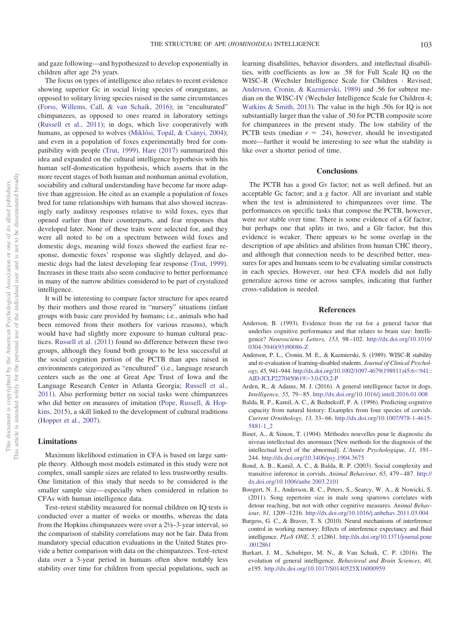and gaze following—and hypothesized to develop exponentially in children after age 2½ years.

The focus on types of intelligence also relates to recent evidence showing superior Gc in social living species of orangutans, as opposed to solitary living species raised in the same circumstances [\(Forss, Willems, Call, & van Schaik, 2016\)](#page-12-34); in "enculturated" chimpanzees, as opposed to ones reared in laboratory settings [\(Russell et al., 2011\)](#page-13-18); in dogs, which live cooperatively with humans, as opposed to wolves [\(Miklósi, Topál, & Csányi, 2004\)](#page-13-30); and even in a population of foxes experimentally bred for compatibility with people [\(Trut, 1999\)](#page-13-31). [Hare \(2017\)](#page-12-35) summarized this idea and expanded on the cultural intelligence hypothesis with his human self-domestication hypothesis, which asserts that in the more recent stages of both human and nonhuman animal evolution, sociability and cultural understanding have become far more adaptive than aggression. He cited as an example a population of foxes bred for tame relationships with humans that also showed increasingly early auditory responses relative to wild foxes, eyes that opened earlier than their counterparts, and fear responses that developed later. None of these traits were selected for, and they were all noted to be on a spectrum between wild foxes and domestic dogs, meaning wild foxes showed the earliest fear response, domestic foxes' response was slightly delayed, and domestic dogs had the latest developing fear response [\(Trut, 1999\)](#page-13-31). Increases in these traits also seem conducive to better performance in many of the narrow abilities considered to be part of crystalized intelligence.

It will be interesting to compare factor structure for apes reared by their mothers and those reared in "nursery" situations (infant groups with basic care provided by humans; i.e., animals who had been removed from their mothers for various reasons), which would have had slightly more exposure to human cultural practices. [Russell et al. \(2011\)](#page-13-18) found no difference between these two groups, although they found both groups to be less successful at the social cognition portion of the PCTB than apes raised in environments categorized as "encultured" (i.e., language research centers such as the one at Great Ape Trust of Iowa and the Language Research Center in Atlanta Georgia; [Russell et al.,](#page-13-18) [2011\)](#page-13-18). Also performing better on social tasks were chimpanzees who did better on measures of imitation [\(Pope, Russell, & Hop](#page-13-32)[kins, 2015\)](#page-13-32), a skill linked to the development of cultural traditions [\(Hopper et al., 2007\)](#page-12-36).

## **Limitations**

Maximum likelihood estimation in CFA is based on large sample theory. Although most models estimated in this study were not complex, small sample sizes are related to less trustworthy results. One limitation of this study that needs to be considered is the smaller sample size— especially when considered in relation to CFAs with human intelligence data.

Test–retest stability measured for normal children on IQ tests is conducted over a matter of weeks or months, whereas the data from the Hopkins chimpanzees were over a 2½–3-year interval, so the comparison of stability correlations may not be fair. Data from mandatory special education evaluations in the United States provide a better comparison with data on the chimpanzees. Test–retest data over a 3-year period in humans often show notably less stability over time for children from special populations, such as learning disabilities, behavior disorders, and intellectual disabilities, with coefficients as low as .58 for Full Scale IQ on the WISC–R (Wechsler Intelligence Scale for Children - Revised; [Anderson, Cronin, & Kazmierski, 1989\)](#page-11-8) and .56 for subtest median on the WISC-IV (Wechsler Intelligence Scale for Children 4; [Watkins & Smith, 2013\)](#page-13-33). The value in the high .50s for IQ is not substantially larger than the value of .50 for PCTB composite score for chimpanzees in the present study. The low stability of the PCTB tests (median  $r = .24$ ), however, should be investigated more—further it would be interesting to see what the stability is like over a shorter period of time.

#### **Conclusions**

The PCTB has a good Gv factor; not as well defined, but an acceptable Gc factor; and a *g* factor. All are invariant and stable when the test is administered to chimpanzees over time. The performances on specific tasks that compose the PCTB, however, were *not* stable over time. There is some evidence of a Gf factor, but perhaps one that splits in two, and a Glr factor, but this evidence is weaker. There appears to be some overlap in the description of ape abilities and abilities from human CHC theory, and although that connection needs to be described better, measures for apes and humans seem to be evaluating similar constructs in each species. However, our best CFA models did not fully generalize across time or across samples, indicating that further cross-validation is needed.

# **References**

- <span id="page-11-4"></span>Anderson, B. (1993). Evidence from the rat for a general factor that underlies cognitive performance and that relates to brain size: Intelligence? *Neuroscience Letters, 153,* 98 –102. [http://dx.doi.org/10.1016/](http://dx.doi.org/10.1016/0304-3940%2893%2990086-Z) [0304-3940\(93\)90086-Z](http://dx.doi.org/10.1016/0304-3940%2893%2990086-Z)
- <span id="page-11-8"></span>Anderson, P. L., Cronin, M. E., & Kazmierski, S. (1989). WISC-R stability and re-evaluation of learning-disabled students. *Journal of Clinical Psychology, 45, 941-944. [http://dx.doi.org/10.1002/1097-4679\(198911\)45:6](http://dx.doi.org/10.1002/1097-4679%28198911%2945:6%3C941::AID-JCLP2270450619%3E3.0.CO;2-P)<941::* [AID-JCLP2270450619](http://dx.doi.org/10.1002/1097-4679%28198911%2945:6%3C941::AID-JCLP2270450619%3E3.0.CO;2-P) 3.0.CO;2-P
- <span id="page-11-6"></span>Arden, R., & Adams, M. J. (2016). A general intelligence factor in dogs. *Intelligence, 55,* 79 – 85. <http://dx.doi.org/10.1016/j.intell.2016.01.008>
- <span id="page-11-1"></span>Balda, R. P., Kamil, A. C., & Bednekoff, P. A. (1996). Predicting cognitive capacity from natural history: Examples from four species of corvids. *Current Ornithology, 13,* 33– 66. [http://dx.doi.org/10.1007/978-1-4615-](http://dx.doi.org/10.1007/978-1-4615-5881-1_2) [5881-1\\_2](http://dx.doi.org/10.1007/978-1-4615-5881-1_2)
- <span id="page-11-0"></span>Binet, A., & Simon, T. (1904). Méthodes nouvelles pour le diagnostic du niveau intellectual des anormaux [New methods for the diagnosis of the intellectual level of the abnormal]. *L'Année Psychologique, 11,* 191– 244. <http://dx.doi.org/10.3406/psy.1904.3675>
- <span id="page-11-2"></span>Bond, A. B., Kamil, A. C., & Balda, R. P. (2003). Social complexity and transitive inference in corvids. *Animal Behaviour, 65,* 479 – 487. [http://](http://dx.doi.org/10.1006/anbe.2003.2101) [dx.doi.org/10.1006/anbe.2003.2101](http://dx.doi.org/10.1006/anbe.2003.2101)
- <span id="page-11-5"></span>Boogert, N. J., Anderson, R. C., Peters, S., Searcy, W. A., & Nowicki, S. (2011). Song repertoire size in male song sparrows correlates with detour reaching, but not with other cognitive measures. *Animal Behaviour, 81,* 1209 –1216. <http://dx.doi.org/10.1016/j.anbehav.2011.03.004>
- <span id="page-11-7"></span>Burgess, G. C., & Braver, T. S. (2010). Neural mechanisms of interference control in working memory: Effects of interference expectancy and fluid intelligence. *PLoS ONE, 5,* e12861. [http://dx.doi.org/10.1371/journal.pone](http://dx.doi.org/10.1371/journal.pone.0012861) [.0012861](http://dx.doi.org/10.1371/journal.pone.0012861)
- <span id="page-11-3"></span>Burkart, J. M., Schubiger, M. N., & Van Schaik, C. P. (2016). The evolution of general intelligence. *Behavioral and Brain Sciences, 40,* e195. <http://dx.doi.org/10.1017/S0140525X16000959>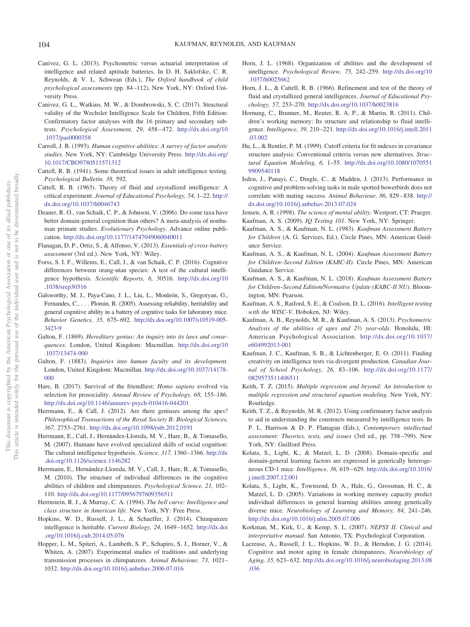- <span id="page-12-1"></span>Canivez, G. L. (2013). Psychometric versus actuarial interpretation of intelligence and related aptitude batteries. In D. H. Saklofske, C. R. Reynolds, & V. L. Schwean (Eds.), *The Oxford handbook of child psychological assessments* (pp. 84 –112). New York, NY: Oxford University Press.
- <span id="page-12-2"></span>Canivez, G. L., Watkins, M. W., & Dombrowski, S. C. (2017). Structural validity of the Wechsler Intelligence Scale for Children, Fifth Edition: Confirmatory factor analyses with the 16 primary and secondary subtests. *Psychological Assessment, 29,* 458 – 472. [http://dx.doi.org/10](http://dx.doi.org/10.1037/pas0000358) [.1037/pas0000358](http://dx.doi.org/10.1037/pas0000358)
- <span id="page-12-8"></span>Carroll, J. B. (1993). *Human cognitive abilities: A survey of factor analytic studies*. New York, NY: Cambridge University Press. [http://dx.doi.org/](http://dx.doi.org/10.1017/CBO9780511571312) [10.1017/CBO9780511571312](http://dx.doi.org/10.1017/CBO9780511571312)
- <span id="page-12-20"></span>Cattell, R. B. (1941). Some theoretical issues in adult intelligence testing. *Psychological Bulletin, 38,* 592.
- <span id="page-12-21"></span>Cattell, R. B. (1963). Theory of fluid and crystallized intelligence: A critical experiment. *Journal of Educational Psychology, 54,* 1–22. [http://](http://dx.doi.org/10.1037/h0046743) [dx.doi.org/10.1037/h0046743](http://dx.doi.org/10.1037/h0046743)
- <span id="page-12-14"></span>Deaner, R. O., van Schaik, C. P., & Johnson, V. (2006). Do some taxa have better domain-general cognition than others? A meta-analysis of nonhuman primate studies. *Evolutionary Psychology*. Advance online publication. <http://dx.doi.org/10.1177/14747049060040011>
- <span id="page-12-22"></span>Flanagan, D. P., Ortiz, S., & Alfonso, V. (2013). *Essentials of cross-battery assessment* (3rd ed.). New York, NY: Wiley.
- <span id="page-12-34"></span>Forss, S. I. F., Willems, E., Call, J., & van Schaik, C. P. (2016). Cognitive differences between orang-utan species: A test of the cultural intelligence hypothesis. *Scientific Reports, 6,* 30516. [http://dx.doi.org/10](http://dx.doi.org/10.1038/srep30516) [.1038/srep30516](http://dx.doi.org/10.1038/srep30516)
- <span id="page-12-11"></span>Galsworthy, M. J., Paya-Cano, J. L., Liu, L., Monleón, S., Gregoryan, G., Fernandes, C.,... Plomin, R. (2005). Assessing reliability, heritability and general cognitive ability in a battery of cognitive tasks for laboratory mice. *Behavior Genetics, 35,* 675– 692. [http://dx.doi.org/10.1007/s10519-005-](http://dx.doi.org/10.1007/s10519-005-3423-9) [3423-9](http://dx.doi.org/10.1007/s10519-005-3423-9)
- <span id="page-12-3"></span>Galton, F. (1869). *Hereditary genius: An inquiry into its laws and consequences*. London, United Kingdom: Macmillan. [http://dx.doi.org/10](http://dx.doi.org/10.1037/13474-000) [.1037/13474-000](http://dx.doi.org/10.1037/13474-000)
- <span id="page-12-4"></span>Galton, F. (1883). *Inquiries into human faculty and its development*. London, United Kingdom: Macmillan. [http://dx.doi.org/10.1037/14178-](http://dx.doi.org/10.1037/14178-000) [000](http://dx.doi.org/10.1037/14178-000)
- <span id="page-12-35"></span>Hare, B. (2017). Survival of the friendliest: *Homo sapiens* evolved via selection for prosociality. *Annual Review of Psychology, 68,* 155–186. <http://dx.doi.org/10.1146/annurev-psych-010416-044201>
- <span id="page-12-15"></span>Herrmann, E., & Call, J. (2012). Are there geniuses among the apes? *Philosophical Transactions of the Royal Society B: Biological Sciences, 367,* 2753–2761. <http://dx.doi.org/10.1098/rstb.2012.0191>
- <span id="page-12-18"></span>Herrmann, E., Call, J., Hernàndez-Lloreda, M. V., Hare, B., & Tomasello, M. (2007). Humans have evolved specialized skills of social cognition: The cultural intelligence hypothesis. *Science, 317,* 1360 –1366. [http://dx](http://dx.doi.org/10.1126/science.1146282) [.doi.org/10.1126/science.1146282](http://dx.doi.org/10.1126/science.1146282)
- <span id="page-12-16"></span>Herrmann, E., Hernández-Lloreda, M. V., Call, J., Hare, B., & Tomasello, M. (2010). The structure of individual differences in the cognitive abilities of children and chimpanzees. *Psychological Science, 21,* 102– 110. <http://dx.doi.org/10.1177/0956797609356511>
- <span id="page-12-7"></span>Herrnstein, R. J., & Murray, C. A. (1994). *The bell curve: Intelligence and class structure in American life*. New York, NY: Free Press.
- <span id="page-12-17"></span>Hopkins, W. D., Russell, J. L., & Schaeffer, J. (2014). Chimpanzee intelligence is heritable. *Current Biology, 24,* 1649 –1652. [http://dx.doi](http://dx.doi.org/10.1016/j.cub.2014.05.076) [.org/10.1016/j.cub.2014.05.076](http://dx.doi.org/10.1016/j.cub.2014.05.076)
- <span id="page-12-36"></span>Hopper, L. M., Spiteri, A., Lambeth, S. P., Schapiro, S. J., Horner, V., & Whiten, A. (2007). Experimental studies of traditions and underlying transmission processes in chimpanzees. *Animal Behaviour, 73,* 1021– 1032. <http://dx.doi.org/10.1016/j.anbehav.2006.07.016>
- <span id="page-12-23"></span>Horn, J. L. (1968). Organization of abilities and the development of intelligence. *Psychological Review, 75,* 242–259. [http://dx.doi.org/10](http://dx.doi.org/10.1037/h0025662) [.1037/h0025662](http://dx.doi.org/10.1037/h0025662)
- <span id="page-12-9"></span>Horn, J. L., & Cattell, R. B. (1966). Refinement and test of the theory of fluid and crystallized general intelligences. *Journal of Educational Psychology, 57,* 253–270. <http://dx.doi.org/10.1037/h0023816>
- <span id="page-12-29"></span>Hornung, C., Brunner, M., Reuter, R. A. P., & Martin, R. (2011). Children's working memory: Its structure and relationship to fluid intelligence. *Intelligence, 39,* 210 –221. [http://dx.doi.org/10.1016/j.intell.2011](http://dx.doi.org/10.1016/j.intell.2011.03.002) [.03.002](http://dx.doi.org/10.1016/j.intell.2011.03.002)
- <span id="page-12-27"></span>Hu, L., & Bentler, P. M. (1999). Cutoff criteria for fit indexes in covariance structure analysis: Conventional criteria versus new alternatives. *Structural Equation Modeling, 6,* 1–55. [http://dx.doi.org/10.1080/1070551](http://dx.doi.org/10.1080/10705519909540118) [9909540118](http://dx.doi.org/10.1080/10705519909540118)
- <span id="page-12-10"></span>Isden, J., Panayi, C., Dingle, C., & Madden, J. (2013). Performance in cognitive and problem-solving tasks in male spotted bowerbirds does not correlate with mating success. *Animal Behaviour, 86,* 829 – 838. [http://](http://dx.doi.org/10.1016/j.anbehav.2013.07.024) [dx.doi.org/10.1016/j.anbehav.2013.07.024](http://dx.doi.org/10.1016/j.anbehav.2013.07.024)
- <span id="page-12-19"></span><span id="page-12-0"></span>Jensen, A. R. (1998). *The science of mental ability*. Westport, CT: Praeger. Kaufman, A. S. (2009). *IQ Testing 101*. New York, NY: Springer.
- <span id="page-12-6"></span>Kaufman, A. S., & Kaufman, N. L. (1983). *Kaufman Assessment Battery for Children* (A. G. Services, Ed.). Circle Pines, MN: American Guidance Service.
- <span id="page-12-30"></span>Kaufman, A. S., & Kaufman, N. L. (2004). *Kaufman Assessment Battery for Children–Second Edition (KABC-II)*. Circle Pines, MN: American Guidance Service.
- <span id="page-12-31"></span>Kaufman, A. S., & Kaufman, N. L. (2018). *Kaufman Assessment Battery for Children–Second Edition/Normative Update (KABC-II NU)*. Bloomington, MN: Pearson.
- <span id="page-12-5"></span>Kaufman, A. S., Raiford, S. E., & Coalson, D. L. (2016). *Intelligent testing with the WISC-V*. Hoboken, NJ: Wiley.
- <span id="page-12-24"></span>Kaufman, A. B., Reynolds, M. R., & Kaufman, A. S. (2013). *Psychometric Analysis of the abilities of apes and 2½ year-olds*. Honolulu, HI: American Psychological Association. [http://dx.doi.org/10.1037/](http://dx.doi.org/10.1037/e604992013-001) [e604992013-001](http://dx.doi.org/10.1037/e604992013-001)
- <span id="page-12-32"></span>Kaufman, J. C., Kaufman, S. B., & Lichtenberger, E. O. (2011). Finding creativity on intelligence tests via divergent production. *Canadian Journal of School Psychology, 26,* 83–106. [http://dx.doi.org/10.1177/](http://dx.doi.org/10.1177/0829573511406511) [0829573511406511](http://dx.doi.org/10.1177/0829573511406511)
- <span id="page-12-28"></span>Keith, T. Z. (2015). *Multiple regression and beyond: An introduction to multiple regression and structural equation modeling*. New York, NY: Routledge.
- <span id="page-12-26"></span>Keith, T. Z., & Reynolds, M. R. (2012). Using confirmatory factor analysis to aid in understanding the constructs measured by intelligence tests. In P. L. Harrison & D. P. Flanagan (Eds.), *Contemporary intellectual assessment: Theories, tests, and issues* (3rd ed., pp. 758 –799). New York, NY: Guilford Press.
- <span id="page-12-12"></span>Kolata, S., Light, K., & Matzel, L. D. (2008). Domain-specific and domain-general learning factors are expressed in genetically heterogeneous CD-1 mice. *Intelligence, 36,* 619 – 629. [http://dx.doi.org/10.1016/](http://dx.doi.org/10.1016/j.intell.2007.12.001) [j.intell.2007.12.001](http://dx.doi.org/10.1016/j.intell.2007.12.001)
- <span id="page-12-13"></span>Kolata, S., Light, K., Townsend, D. A., Hale, G., Grossman, H. C., & Matzel, L. D. (2005). Variations in working memory capacity predict individual differences in general learning abilities among genetically diverse mice. *Neurobiology of Learning and Memory, 84,* 241–246. <http://dx.doi.org/10.1016/j.nlm.2005.07.006>
- <span id="page-12-33"></span>Korkman, M., Kirk, U., & Kemp, S. L. (2007). *NEPSY II. Clinical and interpretative manual*. San Antonio, TX: Psychological Corporation.
- <span id="page-12-25"></span>Lacreuse, A., Russell, J. L., Hopkins, W. D., & Herndon, J. G. (2014). Cognitive and motor aging in female chimpanzees. *Neurobiology of Aging, 35,* 623– 632. [http://dx.doi.org/10.1016/j.neurobiolaging.2013.08](http://dx.doi.org/10.1016/j.neurobiolaging.2013.08.036) [.036](http://dx.doi.org/10.1016/j.neurobiolaging.2013.08.036)